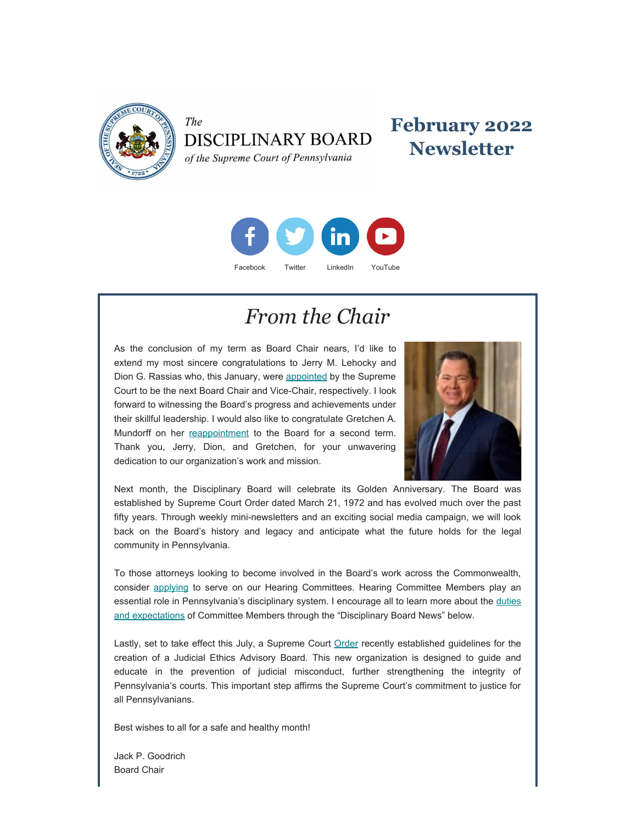

The **DISCIPLINARY BOARD** of the Supreme Court of Pennsylvania

### **February 2022 Newsletter**



### *From the Chair*

As the conclusion of my term as Board Chair nears, I'd like to extend my most sincere congratulations to Jerry M. Lehocky and Dion G. Rassias who, this January, were [appointed](https://www.pacourts.us/assets/opinions/Supreme/out/Amended%20Order%20Entered%20-%20105036095161847878.pdf?cb=1) by the Supreme Court to be the next Board Chair and Vice-Chair, respectively. I look forward to witnessing the Board's progress and achievements under their skillful leadership. I would also like to congratulate Gretchen A. Mundorff on her [reappointment](https://www.pacourts.us/assets/opinions/Supreme/out/Order%20Entered%20-%20105019449158247313.pdf?cb=1) to the Board for a second term. Thank you, Jerry, Dion, and Gretchen, for your unwavering dedication to our organization's work and mission.



Next month, the Disciplinary Board will celebrate its Golden Anniversary. The Board was established by Supreme Court Order dated March 21, 1972 and has evolved much over the past fifty years. Through weekly mini-newsletters and an exciting social media campaign, we will look back on the Board's history and legacy and anticipate what the future holds for the legal community in Pennsylvania.

To those attorneys looking to become involved in the Board's work across the Commonwealth, consider [applying](https://www.padisciplinaryboard.org/Storage/media/pdfs/20220118/154051-hcmemberapplication-fillablepdf(2022).pdf) to serve on our Hearing Committees. Hearing Committee Members play an essential role in Pennsylvania's disciplinary system. I encourage all to learn more about the [duties](https://www.padisciplinaryboard.org/Storage/media/pdfs/20220118/154024-hcmemberduties-2022.pdf) [and expectations](https://www.padisciplinaryboard.org/Storage/media/pdfs/20220118/154024-hcmemberduties-2022.pdf) of Committee Members through the "Disciplinary Board News" below.

Lastly, set to take effect this July, a Supreme Court [Order](https://www.pacourts.us/assets/opinions/Supreme/out/order%20entered%20-%20105014857156990531.pdf) recently established guidelines for the creation of a Judicial Ethics Advisory Board. This new organization is designed to guide and educate in the prevention of judicial misconduct, further strengthening the integrity of Pennsylvania's courts. This important step affirms the Supreme Court's commitment to justice for all Pennsylvanians.

Best wishes to all for a safe and healthy month!

Jack P. Goodrich Board Chair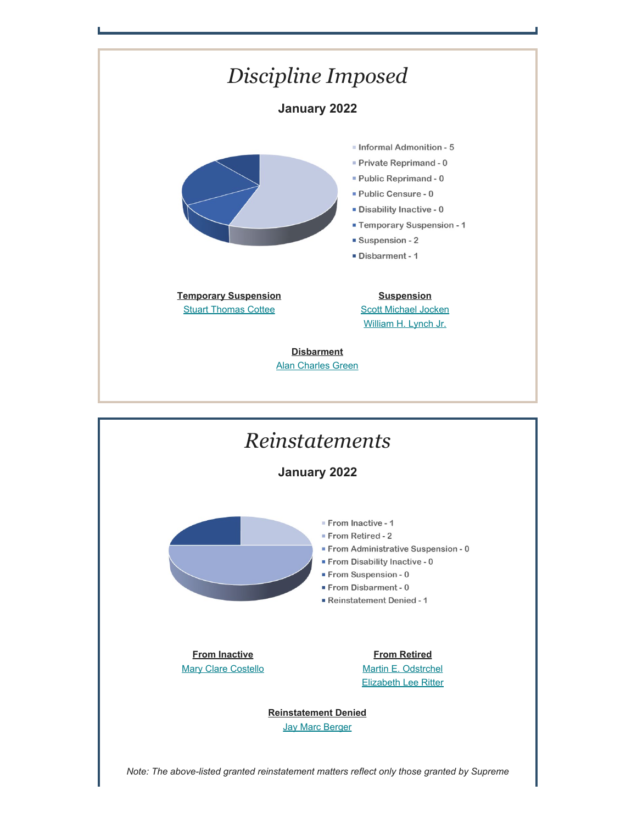



*Note: The above-listed granted reinstatement matters reflect only those granted by Supreme*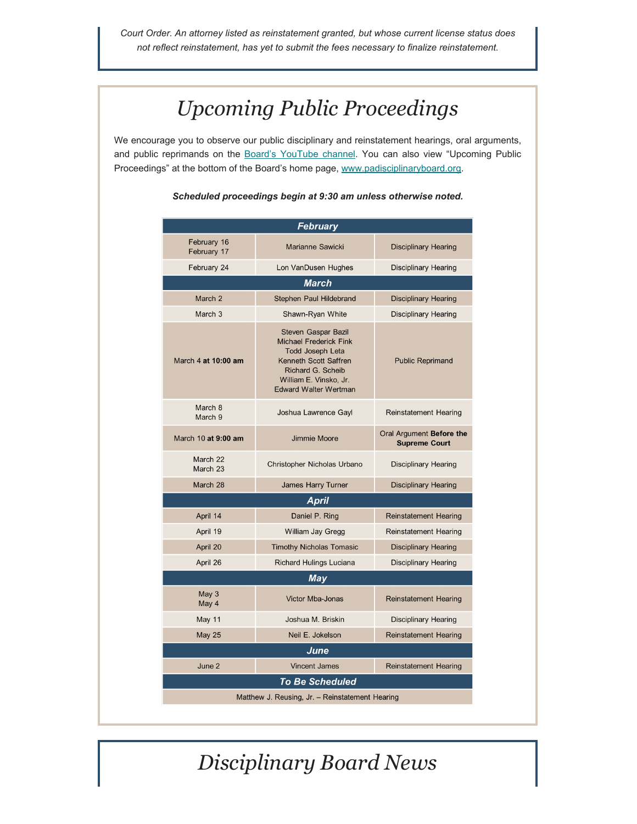*Court Order. An attorney listed as reinstatement granted, but whose current license status does not reflect reinstatement, has yet to submit the fees necessary to finalize reinstatement.*

# *Upcoming Public Proceedings*

We encourage you to observe our public disciplinary and reinstatement hearings, oral arguments, and public reprimands on the [Board's YouTube channel.](https://www.youtube.com/channel/UC7Rzfgcm91b2y3TRTXAViHw) You can also view "Upcoming Public Proceedings" at the bottom of the Board's home page, [www.padisciplinaryboard.org](https://www.padisciplinaryboard.org/).

| <b>February</b>                                 |                                                                                                                                                                                                |                                                  |
|-------------------------------------------------|------------------------------------------------------------------------------------------------------------------------------------------------------------------------------------------------|--------------------------------------------------|
| February 16<br>February 17                      | Marianne Sawicki                                                                                                                                                                               | <b>Disciplinary Hearing</b>                      |
| February 24                                     | Lon VanDusen Hughes                                                                                                                                                                            | <b>Disciplinary Hearing</b>                      |
| <b>March</b>                                    |                                                                                                                                                                                                |                                                  |
| March <sub>2</sub>                              | Stephen Paul Hildebrand                                                                                                                                                                        | <b>Disciplinary Hearing</b>                      |
| March <sub>3</sub>                              | Shawn-Ryan White                                                                                                                                                                               | <b>Disciplinary Hearing</b>                      |
| March 4 at 10:00 am                             | <b>Steven Gaspar Bazil</b><br><b>Michael Frederick Fink</b><br><b>Todd Joseph Leta</b><br>Kenneth Scott Saffren<br>Richard G. Scheib<br>William E. Vinsko, Jr.<br><b>Edward Walter Wertman</b> | <b>Public Reprimand</b>                          |
| March 8<br>March 9                              | Joshua Lawrence Gayl                                                                                                                                                                           | <b>Reinstatement Hearing</b>                     |
| March 10 at 9:00 am                             | Jimmie Moore                                                                                                                                                                                   | Oral Argument Before the<br><b>Supreme Court</b> |
| March 22<br>March 23                            | Christopher Nicholas Urbano                                                                                                                                                                    | <b>Disciplinary Hearing</b>                      |
| March 28                                        | James Harry Turner                                                                                                                                                                             | <b>Disciplinary Hearing</b>                      |
| <b>April</b>                                    |                                                                                                                                                                                                |                                                  |
| April 14                                        | Daniel P. Ring                                                                                                                                                                                 | <b>Reinstatement Hearing</b>                     |
| April 19                                        | William Jay Gregg                                                                                                                                                                              | <b>Reinstatement Hearing</b>                     |
| April 20                                        | <b>Timothy Nicholas Tomasic</b>                                                                                                                                                                | <b>Disciplinary Hearing</b>                      |
| April 26                                        | Richard Hulings Luciana                                                                                                                                                                        | <b>Disciplinary Hearing</b>                      |
| <b>May</b>                                      |                                                                                                                                                                                                |                                                  |
| May 3<br>May 4                                  | Victor Mba-Jonas                                                                                                                                                                               | <b>Reinstatement Hearing</b>                     |
| May 11                                          | Joshua M. Briskin                                                                                                                                                                              | <b>Disciplinary Hearing</b>                      |
| <b>May 25</b>                                   | Neil E. Jokelson                                                                                                                                                                               | <b>Reinstatement Hearing</b>                     |
| June                                            |                                                                                                                                                                                                |                                                  |
| June 2                                          | <b>Vincent James</b>                                                                                                                                                                           | <b>Reinstatement Hearing</b>                     |
| <b>To Be Scheduled</b>                          |                                                                                                                                                                                                |                                                  |
| Matthew J. Reusing, Jr. - Reinstatement Hearing |                                                                                                                                                                                                |                                                  |

#### *Scheduled proceedings begin at 9:30 am unless otherwise noted.*

*Disciplinary Board News*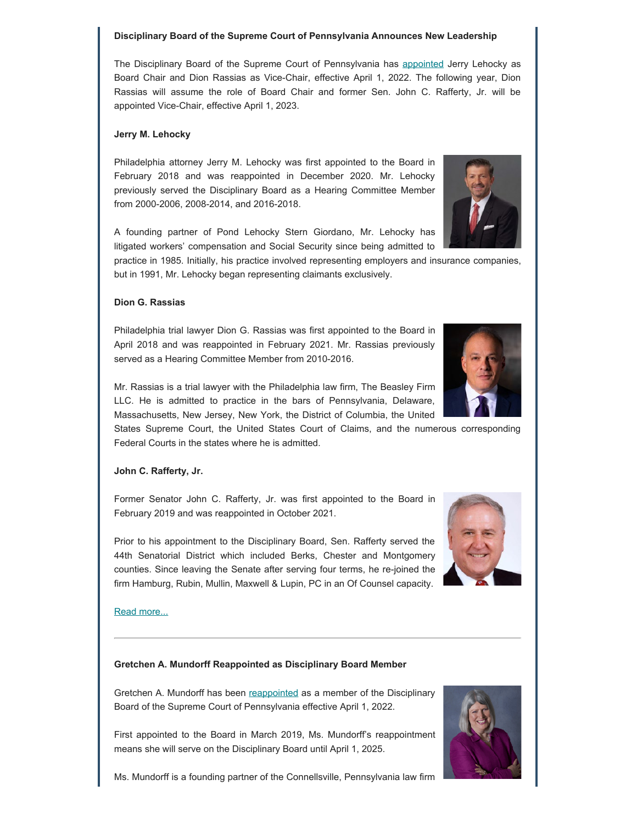#### **Disciplinary Board of the Supreme Court of Pennsylvania Announces New Leadership**

The Disciplinary Board of the Supreme Court of Pennsylvania has [appointed](https://www.pacourts.us/assets/opinions/Supreme/out/Amended Order Entered - 105036095161847878.pdf?cb=1) Jerry Lehocky as Board Chair and Dion Rassias as Vice-Chair, effective April 1, 2022. The following year, Dion Rassias will assume the role of Board Chair and former Sen. John C. Rafferty, Jr. will be appointed Vice-Chair, effective April 1, 2023.

#### **Jerry M. Lehocky**

Philadelphia attorney Jerry M. Lehocky was first appointed to the Board in February 2018 and was reappointed in December 2020. Mr. Lehocky previously served the Disciplinary Board as a Hearing Committee Member from 2000-2006, 2008-2014, and 2016-2018.

A founding partner of Pond Lehocky Stern Giordano, Mr. Lehocky has litigated workers' compensation and Social Security since being admitted to

practice in 1985. Initially, his practice involved representing employers and insurance companies, but in 1991, Mr. Lehocky began representing claimants exclusively.

#### **Dion G. Rassias**

Philadelphia trial lawyer Dion G. Rassias was first appointed to the Board in April 2018 and was reappointed in February 2021. Mr. Rassias previously served as a Hearing Committee Member from 2010-2016.

Mr. Rassias is a trial lawyer with the Philadelphia law firm, The Beasley Firm LLC. He is admitted to practice in the bars of Pennsylvania, Delaware, Massachusetts, New Jersey, New York, the District of Columbia, the United

States Supreme Court, the United States Court of Claims, and the numerous corresponding Federal Courts in the states where he is admitted.

#### **John C. Rafferty, Jr.**

Former Senator John C. Rafferty, Jr. was first appointed to the Board in February 2019 and was reappointed in October 2021.

Prior to his appointment to the Disciplinary Board, Sen. Rafferty served the 44th Senatorial District which included Berks, Chester and Montgomery counties. Since leaving the Senate after serving four terms, he re-joined the firm Hamburg, Rubin, Mullin, Maxwell & Lupin, PC in an Of Counsel capacity.

#### [Read more...](https://www.padisciplinaryboard.org/news-media/news-article/1501/disciplinary-board-of-the-supreme-court-of-pennsylvania-announces-new-leadership)

#### **Gretchen A. Mundorff Reappointed as Disciplinary Board Member**

Gretchen A. Mundorff has been [reappointed](https://www.pacourts.us/assets/opinions/Supreme/out/Order%20Entered%20-%20105019449158247313.pdf?cb=1) as a member of the Disciplinary Board of the Supreme Court of Pennsylvania effective April 1, 2022.

First appointed to the Board in March 2019, Ms. Mundorff's reappointment means she will serve on the Disciplinary Board until April 1, 2025.

Ms. Mundorff is a founding partner of the Connellsville, Pennsylvania law firm





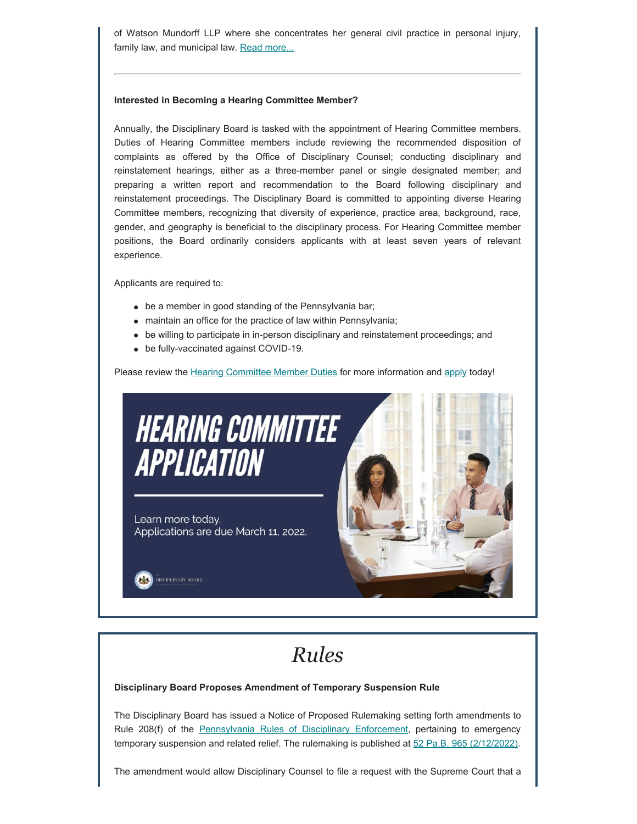of Watson Mundorff LLP where she concentrates her general civil practice in personal injury, family law, and municipal law. [Read more...](https://www.padisciplinaryboard.org/news-media/news-article/1496/gretchen-a-mundorff-reappointed-as-member-of-disciplinary-board-of-the-supreme-court-of-pennsylvania)

#### **Interested in Becoming a Hearing Committee Member?**

Annually, the Disciplinary Board is tasked with the appointment of Hearing Committee members. Duties of Hearing Committee members include reviewing the recommended disposition of complaints as offered by the Office of Disciplinary Counsel; conducting disciplinary and reinstatement hearings, either as a three-member panel or single designated member; and preparing a written report and recommendation to the Board following disciplinary and reinstatement proceedings. The Disciplinary Board is committed to appointing diverse Hearing Committee members, recognizing that diversity of experience, practice area, background, race, gender, and geography is beneficial to the disciplinary process. For Hearing Committee member positions, the Board ordinarily considers applicants with at least seven years of relevant experience.

Applicants are required to:

- be a member in good standing of the Pennsylvania bar;
- maintain an office for the practice of law within Pennsylvania;
- be willing to participate in in-person disciplinary and reinstatement proceedings; and
- be fully-vaccinated against COVID-19.

Please review the [Hearing Committee Member Duties](https://www.padisciplinaryboard.org/Storage/media/pdfs/20220118/154024-hcmemberduties-2022.pdf) for more information and [apply](https://www.padisciplinaryboard.org/Storage/media/pdfs/20220118/154051-hcmemberapplication-fillablepdf(2022).pdf) today!



# *Rules*

#### **Disciplinary Board Proposes Amendment of Temporary Suspension Rule**

The Disciplinary Board has issued a Notice of Proposed Rulemaking setting forth amendments to Rule 208(f) of the [Pennsylvania Rules of Disciplinary Enforcement](https://www.padisciplinaryboard.org/for-attorneys/rules/rule/5/the-pennsylvania-rules-of-disciplinary-enforcement), pertaining to emergency temporary suspension and related relief. The rulemaking is published at [52 Pa.B. 965 \(2/12/2022\).](https://www.pacodeandbulletin.gov/Display/pabull?file=/secure/pabulletin/data/vol52/52-7/227.html)

The amendment would allow Disciplinary Counsel to file a request with the Supreme Court that a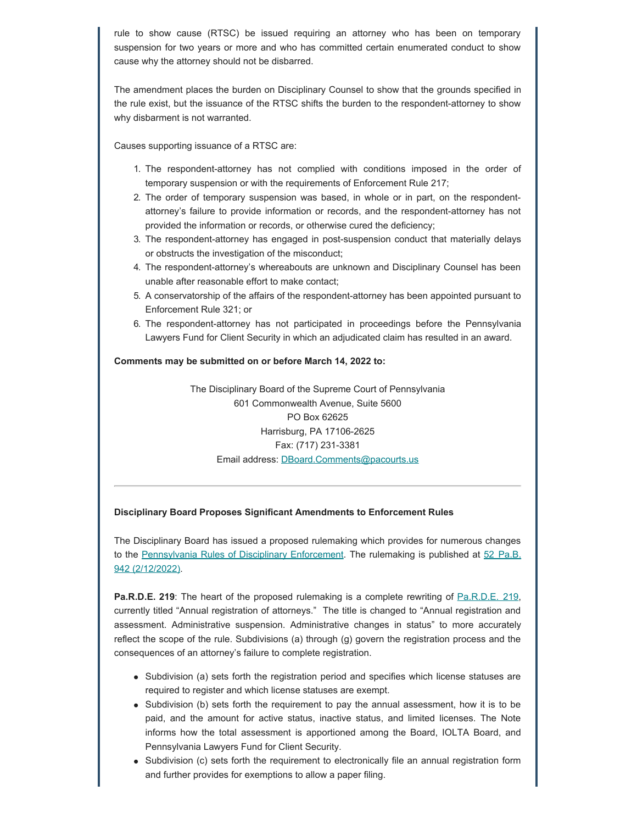rule to show cause (RTSC) be issued requiring an attorney who has been on temporary suspension for two years or more and who has committed certain enumerated conduct to show cause why the attorney should not be disbarred.

The amendment places the burden on Disciplinary Counsel to show that the grounds specified in the rule exist, but the issuance of the RTSC shifts the burden to the respondent-attorney to show why disbarment is not warranted.

Causes supporting issuance of a RTSC are:

- 1. The respondent-attorney has not complied with conditions imposed in the order of temporary suspension or with the requirements of Enforcement Rule 217;
- 2. The order of temporary suspension was based, in whole or in part, on the respondentattorney's failure to provide information or records, and the respondent-attorney has not provided the information or records, or otherwise cured the deficiency;
- 3. The respondent-attorney has engaged in post-suspension conduct that materially delays or obstructs the investigation of the misconduct;
- 4. The respondent-attorney's whereabouts are unknown and Disciplinary Counsel has been unable after reasonable effort to make contact;
- 5. A conservatorship of the affairs of the respondent-attorney has been appointed pursuant to Enforcement Rule 321; or
- 6. The respondent-attorney has not participated in proceedings before the Pennsylvania Lawyers Fund for Client Security in which an adjudicated claim has resulted in an award.

#### **Comments may be submitted on or before March 14, 2022 to:**

The Disciplinary Board of the Supreme Court of Pennsylvania 601 Commonwealth Avenue, Suite 5600 PO Box 62625 Harrisburg, PA 17106-2625 Fax: (717) 231-3381 Email address: [DBoard.Comments@pacourts.us](mailto:DBoard.Comments@pacourts.us)

#### **Disciplinary Board Proposes Significant Amendments to Enforcement Rules**

The Disciplinary Board has issued a proposed rulemaking which provides for numerous changes to the [Pennsylvania Rules of Disciplinary Enforcement](https://www.padisciplinaryboard.org/for-attorneys/rules/rule/5/the-pennsylvania-rules-of-disciplinary-enforcement). The rulemaking is published at [52 Pa.B.](https://www.pacodeandbulletin.gov/Display/pabull?file=/secure/pabulletin/data/vol52/52-7/225.html) [942 \(2/12/2022\)](https://www.pacodeandbulletin.gov/Display/pabull?file=/secure/pabulletin/data/vol52/52-7/225.html).

**[Pa.R.D.E. 219](https://www.padisciplinaryboard.org/for-attorneys/rules/rule/5/the-pennsylvania-rules-of-disciplinary-enforcement#rule-35):** The heart of the proposed rulemaking is a complete rewriting of Pa.R.D.E. 219, currently titled "Annual registration of attorneys." The title is changed to "Annual registration and assessment. Administrative suspension. Administrative changes in status" to more accurately reflect the scope of the rule. Subdivisions (a) through (g) govern the registration process and the consequences of an attorney's failure to complete registration.

- Subdivision (a) sets forth the registration period and specifies which license statuses are required to register and which license statuses are exempt.
- Subdivision (b) sets forth the requirement to pay the annual assessment, how it is to be paid, and the amount for active status, inactive status, and limited licenses. The Note informs how the total assessment is apportioned among the Board, IOLTA Board, and Pennsylvania Lawyers Fund for Client Security.
- Subdivision (c) sets forth the requirement to electronically file an annual registration form and further provides for exemptions to allow a paper filing.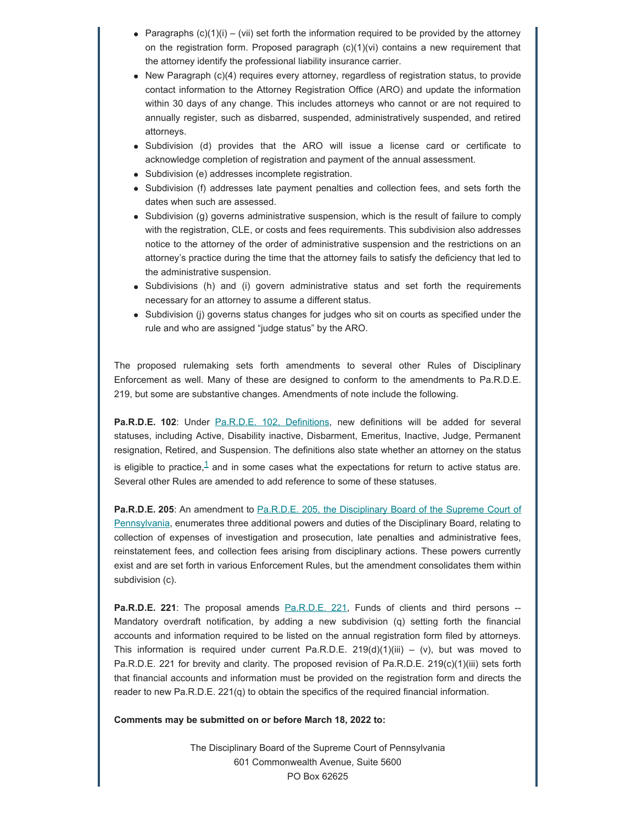- Paragraphs  $(c)(1)(i) (vii)$  set forth the information required to be provided by the attorney on the registration form. Proposed paragraph  $(c)(1)(vi)$  contains a new requirement that the attorney identify the professional liability insurance carrier.
- New Paragraph (c)(4) requires every attorney, regardless of registration status, to provide contact information to the Attorney Registration Office (ARO) and update the information within 30 days of any change. This includes attorneys who cannot or are not required to annually register, such as disbarred, suspended, administratively suspended, and retired attorneys.
- Subdivision (d) provides that the ARO will issue a license card or certificate to acknowledge completion of registration and payment of the annual assessment.
- Subdivision (e) addresses incomplete registration.
- Subdivision (f) addresses late payment penalties and collection fees, and sets forth the dates when such are assessed.
- Subdivision (g) governs administrative suspension, which is the result of failure to comply with the registration, CLE, or costs and fees requirements. This subdivision also addresses notice to the attorney of the order of administrative suspension and the restrictions on an attorney's practice during the time that the attorney fails to satisfy the deficiency that led to the administrative suspension.
- Subdivisions (h) and (i) govern administrative status and set forth the requirements necessary for an attorney to assume a different status.
- Subdivision (j) governs status changes for judges who sit on courts as specified under the rule and who are assigned "judge status" by the ARO.

The proposed rulemaking sets forth amendments to several other Rules of Disciplinary Enforcement as well. Many of these are designed to conform to the amendments to Pa.R.D.E. 219, but some are substantive changes. Amendments of note include the following.

<span id="page-6-0"></span>**Pa.R.D.E. 102**: Under [Pa.R.D.E. 102, Definitions,](https://www.padisciplinaryboard.org/for-attorneys/rules/rule/5/the-pennsylvania-rules-of-disciplinary-enforcement#rule-14) new definitions will be added for several statuses, including Active, Disability inactive, Disbarment, Emeritus, Inactive, Judge, Permanent resignation, Retired, and Suspension. The definitions also state whether an attorney on the status is eligible to practice, $\frac{1}{1}$  $\frac{1}{1}$  $\frac{1}{1}$  and in some cases what the expectations for return to active status are. Several other Rules are amended to add reference to some of these statuses.

**Pa.R.D.E. 205:** An amendment to [Pa.R.D.E. 205, the Disciplinary Board of the Supreme Court of](https://www.padisciplinaryboard.org/for-attorneys/rules/rule/5/the-pennsylvania-rules-of-disciplinary-enforcement#rule-21) [Pennsylvania](https://www.padisciplinaryboard.org/for-attorneys/rules/rule/5/the-pennsylvania-rules-of-disciplinary-enforcement#rule-21), enumerates three additional powers and duties of the Disciplinary Board, relating to collection of expenses of investigation and prosecution, late penalties and administrative fees, reinstatement fees, and collection fees arising from disciplinary actions. These powers currently exist and are set forth in various Enforcement Rules, but the amendment consolidates them within subdivision (c).

**[Pa.R.D.E. 221](https://www.padisciplinaryboard.org/for-attorneys/rules/rule/5/the-pennsylvania-rules-of-disciplinary-enforcement#rule-37)**: The proposal amends Pa.R.D.E. 221, Funds of clients and third persons --Mandatory overdraft notification, by adding a new subdivision (q) setting forth the financial accounts and information required to be listed on the annual registration form filed by attorneys. This information is required under current Pa.R.D.E.  $219(d)(1)(iii) - (v)$ , but was moved to Pa.R.D.E. 221 for brevity and clarity. The proposed revision of Pa.R.D.E. 219(c)(1)(iii) sets forth that financial accounts and information must be provided on the registration form and directs the reader to new Pa.R.D.E. 221(q) to obtain the specifics of the required financial information.

**Comments may be submitted on or before March 18, 2022 to:**

The Disciplinary Board of the Supreme Court of Pennsylvania 601 Commonwealth Avenue, Suite 5600 PO Box 62625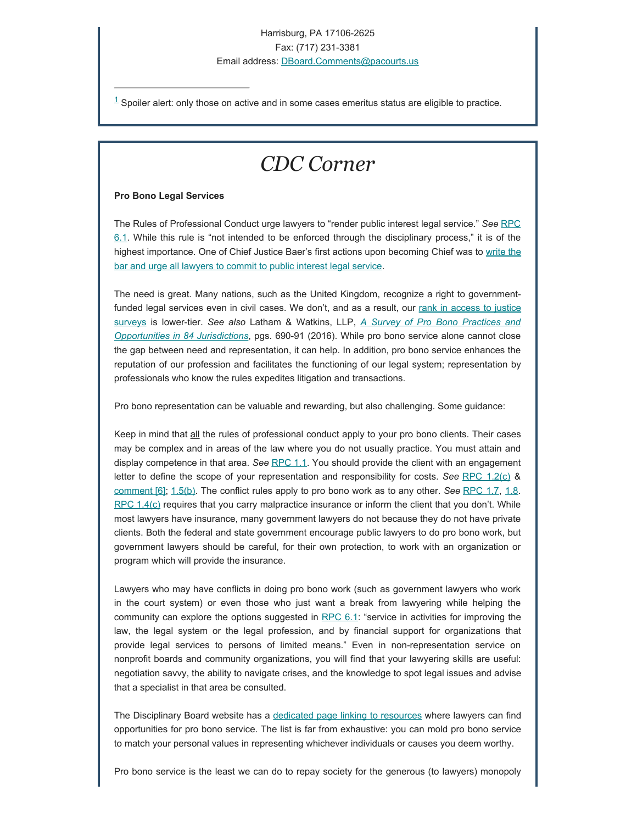#### Harrisburg, PA 17106-2625 Fax: (717) 231-3381

Email address: [DBoard.Comments@pacourts.us](mailto:DBoard.Comments@pacourts.us)

<span id="page-7-0"></span> $1$  Spoiler alert: only those on active and in some cases emeritus status are eligible to practice.

### *CDC Corner*

#### **Pro Bono Legal Services**

The Rules of Professional Conduct urge lawyers to "render public interest legal service." *See* [RPC](https://www.padisciplinaryboard.org/for-attorneys/rules/rule/3/the-rules-of-professional-conduct#rule-188) [6.1](https://www.padisciplinaryboard.org/for-attorneys/rules/rule/3/the-rules-of-professional-conduct#rule-188). While this rule is "not intended to be enforced through the disciplinary process," it is of the highest importance. One of Chief Justice Baer's first actions upon becoming Chief was to [write the](https://www.padisciplinaryboard.org/Storage/media/pdfs/20210504/210334-2021cjprobonoletter.pdf) [bar and urge all lawyers to commit to public interest legal service](https://www.padisciplinaryboard.org/Storage/media/pdfs/20210504/210334-2021cjprobonoletter.pdf).

The need is great. Many nations, such as the United Kingdom, recognize a right to governmentfunded legal services even in civil cases. We don't, and as a result, our [rank in access to justice](https://1.next.westlaw.com/Document/I80fca1d2597811ec9f24ec7b211d8087/View/FullText.html?navigationPath=%2FFoldering%2Fv1%2Ftfarrell61%2Fcontainers%2Fuser%2F2d971bede7f64fa3b9f2e46317232fc9%2Fcontents%2FdocumentNavigation%2F5147e9d7-d627-4cfc-960c-d093defafef8%2FI80fca1d2597811ec9f24ec7b211d8087%3FcontainerType%3Dfolder%26ppcid%3D295cd5d2641c41419c14244393c66182&listSource=Foldering&list=folderContents&rank=3&sessionScopeId=db703d9df20b2ad9ae34bdfffb7c54911df907f5ceb38d3e1531b8768f3b0536&rulebookMode=false&fcid=bff1547abe044e63a9c8250dc97603ff&transitionType=FolderItem&contextData=%28cid.bff1547abe044e63a9c8250dc97603ff*oc.Keycite%29) [surveys](https://1.next.westlaw.com/Document/I80fca1d2597811ec9f24ec7b211d8087/View/FullText.html?navigationPath=%2FFoldering%2Fv1%2Ftfarrell61%2Fcontainers%2Fuser%2F2d971bede7f64fa3b9f2e46317232fc9%2Fcontents%2FdocumentNavigation%2F5147e9d7-d627-4cfc-960c-d093defafef8%2FI80fca1d2597811ec9f24ec7b211d8087%3FcontainerType%3Dfolder%26ppcid%3D295cd5d2641c41419c14244393c66182&listSource=Foldering&list=folderContents&rank=3&sessionScopeId=db703d9df20b2ad9ae34bdfffb7c54911df907f5ceb38d3e1531b8768f3b0536&rulebookMode=false&fcid=bff1547abe044e63a9c8250dc97603ff&transitionType=FolderItem&contextData=%28cid.bff1547abe044e63a9c8250dc97603ff*oc.Keycite%29) is lower-tier. *See also* Latham & Watkins, LLP, *[A Survey of Pro Bono Practices and](https://www.probonoinst.org/wpps/wp-content/uploads/Global-Survey-2016.pdf#page=690) [Opportunities in 84 Jurisdictions](https://www.probonoinst.org/wpps/wp-content/uploads/Global-Survey-2016.pdf#page=690)*, pgs. 690-91 (2016). While pro bono service alone cannot close the gap between need and representation, it can help. In addition, pro bono service enhances the reputation of our profession and facilitates the functioning of our legal system; representation by professionals who know the rules expedites litigation and transactions.

Pro bono representation can be valuable and rewarding, but also challenging. Some guidance:

Keep in mind that all the rules of professional conduct apply to your pro bono clients. Their cases may be complex and in areas of the law where you do not usually practice. You must attain and display competence in that area. *See* [RPC 1.1](https://www.padisciplinaryboard.org/for-attorneys/rules/rule/3/the-rules-of-professional-conduct#rule-6). You should provide the client with an engagement letter to define the scope of your representation and responsibility for costs. *See* [RPC 1.2\(c\)](https://www.padisciplinaryboard.org/for-attorneys/rules/rule/3/the-rules-of-professional-conduct#rule-107) & [comment \[6\];](https://www.padisciplinaryboard.org/for-attorneys/rules/rule/3/#p-comment-941) [1.5\(b\)](https://www.padisciplinaryboard.org/for-attorneys/rules/rule/3/the-rules-of-professional-conduct#rule-110). The conflict rules apply to pro bono work as to any other. *See* [RPC 1.7,](https://www.padisciplinaryboard.org/for-attorneys/rules/rule/3/the-rules-of-professional-conduct#rule-148) [1.8](https://www.padisciplinaryboard.org/for-attorneys/rules/rule/3/the-rules-of-professional-conduct#rule-149).  $RPC 1.4(c)$  $RPC 1.4(c)$  requires that you carry malpractice insurance or inform the client that you don't. While most lawyers have insurance, many government lawyers do not because they do not have private clients. Both the federal and state government encourage public lawyers to do pro bono work, but government lawyers should be careful, for their own protection, to work with an organization or program which will provide the insurance.

Lawyers who may have conflicts in doing pro bono work (such as government lawyers who work in the court system) or even those who just want a break from lawyering while helping the community can explore the options suggested in  $RPC 6.1$  $RPC 6.1$ : "service in activities for improving the law, the legal system or the legal profession, and by financial support for organizations that provide legal services to persons of limited means." Even in non-representation service on nonprofit boards and community organizations, you will find that your lawyering skills are useful: negotiation savvy, the ability to navigate crises, and the knowledge to spot legal issues and advise that a specialist in that area be consulted.

The Disciplinary Board website has a [dedicated page linking to resources](https://www.padisciplinaryboard.org/for-attorneys/pro-bono) where lawyers can find opportunities for pro bono service. The list is far from exhaustive: you can mold pro bono service to match your personal values in representing whichever individuals or causes you deem worthy.

Pro bono service is the least we can do to repay society for the generous (to lawyers) monopoly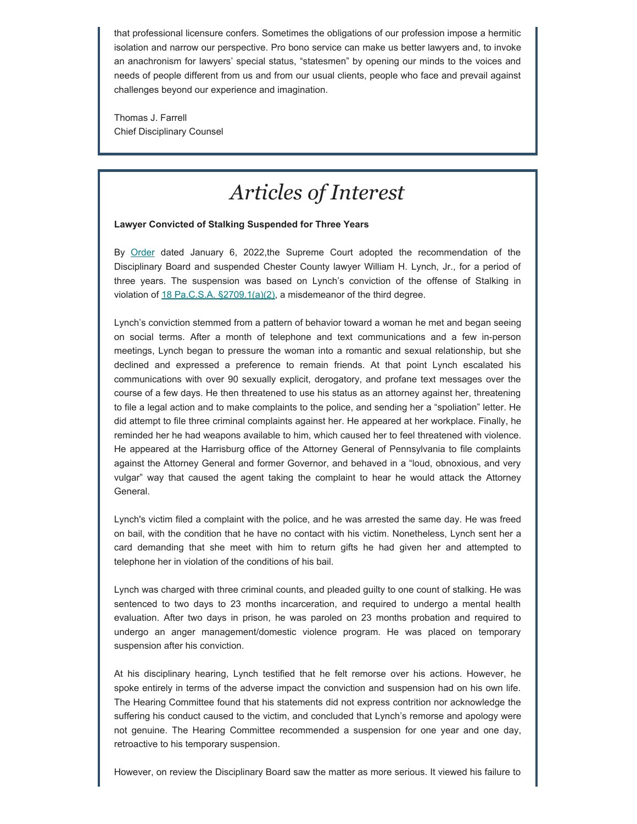that professional licensure confers. Sometimes the obligations of our profession impose a hermitic isolation and narrow our perspective. Pro bono service can make us better lawyers and, to invoke an anachronism for lawyers' special status, "statesmen" by opening our minds to the voices and needs of people different from us and from our usual clients, people who face and prevail against challenges beyond our experience and imagination.

Thomas J. Farrell Chief Disciplinary Counsel

### *Articles of Interest*

#### **Lawyer Convicted of Stalking Suspended for Three Years**

By [Order](https://www.pacourts.us/assets/opinions/DisciplinaryBoard/out/70DB2020-WLynch.pdf) dated January 6, 2022,the Supreme Court adopted the recommendation of the Disciplinary Board and suspended Chester County lawyer William H. Lynch, Jr., for a period of three years. The suspension was based on Lynch's conviction of the offense of Stalking in violation of  $18$  Pa.C.S.A.  $\S2709.1(a)(2)$ , a misdemeanor of the third degree.

Lynch's conviction stemmed from a pattern of behavior toward a woman he met and began seeing on social terms. After a month of telephone and text communications and a few in-person meetings, Lynch began to pressure the woman into a romantic and sexual relationship, but she declined and expressed a preference to remain friends. At that point Lynch escalated his communications with over 90 sexually explicit, derogatory, and profane text messages over the course of a few days. He then threatened to use his status as an attorney against her, threatening to file a legal action and to make complaints to the police, and sending her a "spoliation" letter. He did attempt to file three criminal complaints against her. He appeared at her workplace. Finally, he reminded her he had weapons available to him, which caused her to feel threatened with violence. He appeared at the Harrisburg office of the Attorney General of Pennsylvania to file complaints against the Attorney General and former Governor, and behaved in a "loud, obnoxious, and very vulgar" way that caused the agent taking the complaint to hear he would attack the Attorney General.

Lynch's victim filed a complaint with the police, and he was arrested the same day. He was freed on bail, with the condition that he have no contact with his victim. Nonetheless, Lynch sent her a card demanding that she meet with him to return gifts he had given her and attempted to telephone her in violation of the conditions of his bail.

Lynch was charged with three criminal counts, and pleaded guilty to one count of stalking. He was sentenced to two days to 23 months incarceration, and required to undergo a mental health evaluation. After two days in prison, he was paroled on 23 months probation and required to undergo an anger management/domestic violence program. He was placed on temporary suspension after his conviction.

At his disciplinary hearing, Lynch testified that he felt remorse over his actions. However, he spoke entirely in terms of the adverse impact the conviction and suspension had on his own life. The Hearing Committee found that his statements did not express contrition nor acknowledge the suffering his conduct caused to the victim, and concluded that Lynch's remorse and apology were not genuine. The Hearing Committee recommended a suspension for one year and one day, retroactive to his temporary suspension.

However, on review the Disciplinary Board saw the matter as more serious. It viewed his failure to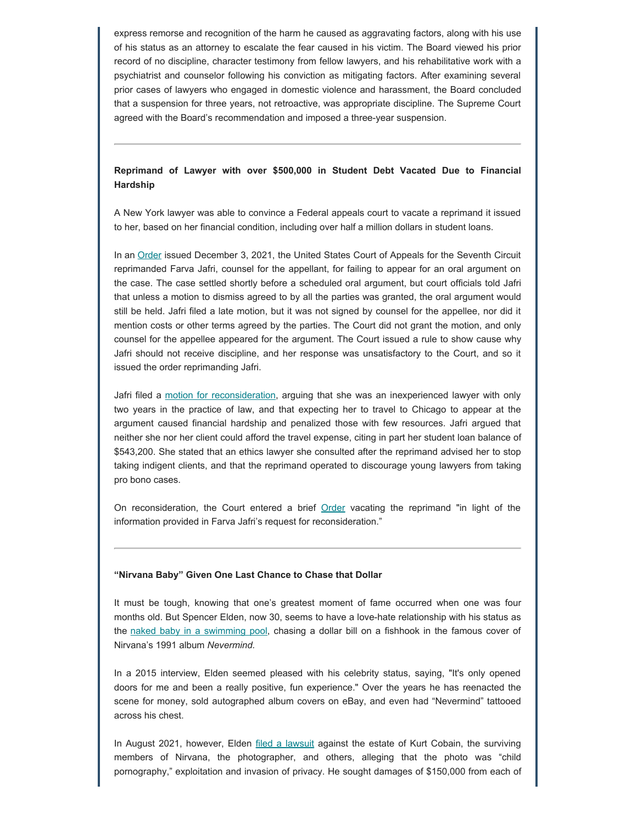express remorse and recognition of the harm he caused as aggravating factors, along with his use of his status as an attorney to escalate the fear caused in his victim. The Board viewed his prior record of no discipline, character testimony from fellow lawyers, and his rehabilitative work with a psychiatrist and counselor following his conviction as mitigating factors. After examining several prior cases of lawyers who engaged in domestic violence and harassment, the Board concluded that a suspension for three years, not retroactive, was appropriate discipline. The Supreme Court agreed with the Board's recommendation and imposed a three-year suspension.

### **Reprimand of Lawyer with over \$500,000 in Student Debt Vacated Due to Financial Hardship**

A New York lawyer was able to convince a Federal appeals court to vacate a reprimand it issued to her, based on her financial condition, including over half a million dollars in student loans.

In an [Order](https://www.abajournal.com/files/JafriRef.pdf) issued December 3, 2021, the United States Court of Appeals for the Seventh Circuit reprimanded Farva Jafri, counsel for the appellant, for failing to appear for an oral argument on the case. The case settled shortly before a scheduled oral argument, but court officials told Jafri that unless a motion to dismiss agreed to by all the parties was granted, the oral argument would still be held. Jafri filed a late motion, but it was not signed by counsel for the appellee, nor did it mention costs or other terms agreed by the parties. The Court did not grant the motion, and only counsel for the appellee appeared for the argument. The Court issued a rule to show cause why Jafri should not receive discipline, and her response was unsatisfactory to the Court, and so it issued the order reprimanding Jafri.

Jafri filed a [motion for reconsideration](https://www.abajournal.com/files/JafriRequest.pdf), arguing that she was an inexperienced lawyer with only two years in the practice of law, and that expecting her to travel to Chicago to appear at the argument caused financial hardship and penalized those with few resources. Jafri argued that neither she nor her client could afford the travel expense, citing in part her student loan balance of \$543,200. She stated that an ethics lawyer she consulted after the reprimand advised her to stop taking indigent clients, and that the reprimand operated to discourage young lawyers from taking pro bono cases.

On reconsideration, the Court entered a brief [Order](https://www.abajournal.com/files/7thCirJafriOrder.pdf) vacating the reprimand "in light of the information provided in Farva Jafri's request for reconsideration."

#### **"Nirvana Baby" Given One Last Chance to Chase that Dollar**

It must be tough, knowing that one's greatest moment of fame occurred when one was four months old. But Spencer Elden, now 30, seems to have a love-hate relationship with his status as the [naked baby in a swimming pool](https://static.independent.co.uk/s3fs-public/thumbnails/image/2014/05/14/11/music-nirvana-nevermind.jpg?width=1200), chasing a dollar bill on a fishhook in the famous cover of Nirvana's 1991 album *Nevermind.*

In a 2015 interview, Elden seemed pleased with his celebrity status, saying, "It's only opened doors for me and been a really positive, fun experience." Over the years he has reenacted the scene for money, sold autographed album covers on eBay, and even had "Nevermind" tattooed across his chest.

In August 2021, however, Elden [filed a lawsuit](https://www.npr.org/2022/01/04/1070159593/nirvana-nevermind-album-cover-lawsuit-dismissed) against the estate of Kurt Cobain, the surviving members of Nirvana, the photographer, and others, alleging that the photo was "child pornography," exploitation and invasion of privacy. He sought damages of \$150,000 from each of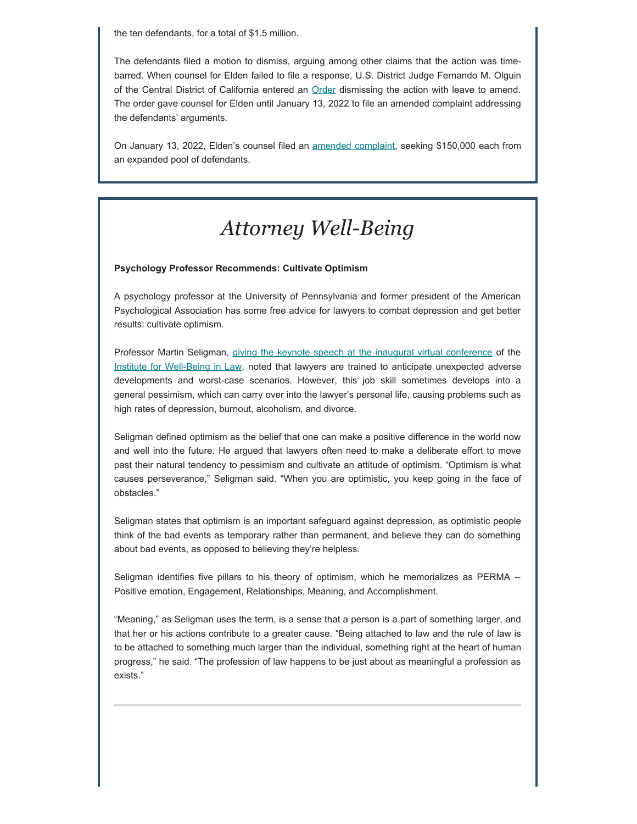the ten defendants, for a total of \$1.5 million.

The defendants filed a motion to dismiss, arguing among other claims that the action was timebarred. When counsel for Elden failed to file a response, U.S. District Judge Fernando M. Olguin of the Central District of California entered an **Order** dismissing the action with leave to amend. The order gave counsel for Elden until January 13, 2022 to file an amended complaint addressing the defendants' arguments.

On January 13, 2022, Elden's counsel filed an [amended complaint](https://www.usatoday.com/story/entertainment/music/2022/01/13/nirvana-nevermind-album-cover-controversy-spencer-elden-refiles-lawsuit/6515095001/), seeking \$150,000 each from an expanded pool of defendants.

# *Attorney Well-Being*

#### **Psychology Professor Recommends: Cultivate Optimism**

A psychology professor at the University of Pennsylvania and former president of the American Psychological Association has some free advice for lawyers to combat depression and get better results: cultivate optimism.

Professor Martin Seligman, [giving the keynote speech at the inaugural virtual conference](https://www.abajournal.com/news/article/lawyers-should-aim-to-develop-greater-optimism-conference-keynote-speaker-says) of the [Institute for Well-Being in Law](https://lawyerwellbeing.net/conference-2022/), noted that lawyers are trained to anticipate unexpected adverse developments and worst-case scenarios. However, this job skill sometimes develops into a general pessimism, which can carry over into the lawyer's personal life, causing problems such as high rates of depression, burnout, alcoholism, and divorce.

Seligman defined optimism as the belief that one can make a positive difference in the world now and well into the future. He argued that lawyers often need to make a deliberate effort to move past their natural tendency to pessimism and cultivate an attitude of optimism. "Optimism is what causes perseverance," Seligman said. "When you are optimistic, you keep going in the face of obstacles."

Seligman states that optimism is an important safeguard against depression, as optimistic people think of the bad events as temporary rather than permanent, and believe they can do something about bad events, as opposed to believing they're helpless.

Seligman identifies five pillars to his theory of optimism, which he memorializes as PERMA --Positive emotion, Engagement, Relationships, Meaning, and Accomplishment.

"Meaning," as Seligman uses the term, is a sense that a person is a part of something larger, and that her or his actions contribute to a greater cause. "Being attached to law and the rule of law is to be attached to something much larger than the individual, something right at the heart of human progress," he said. "The profession of law happens to be just about as meaningful a profession as exists."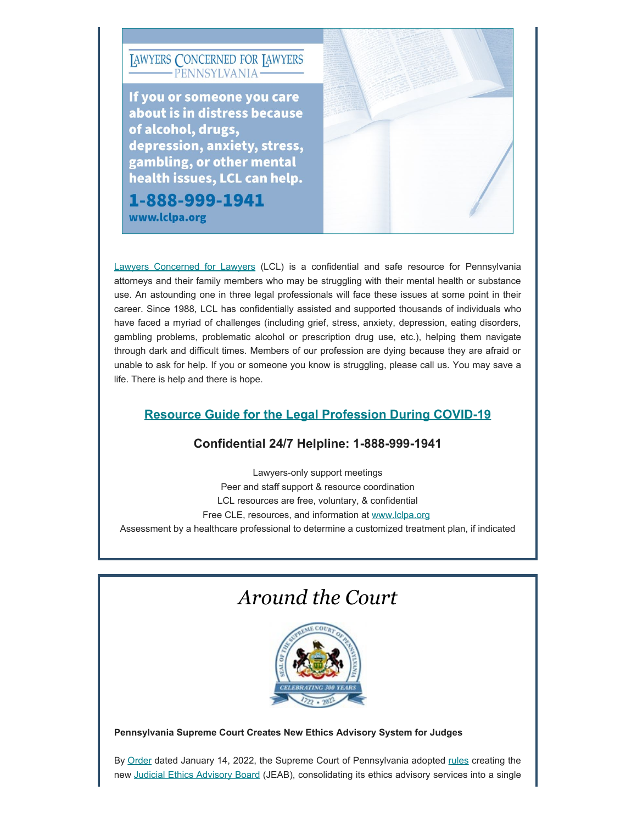

[Lawyers Concerned for Lawyers](https://www.lclpa.org/) (LCL) is a confidential and safe resource for Pennsylvania attorneys and their family members who may be struggling with their mental health or substance use. An astounding one in three legal professionals will face these issues at some point in their career. Since 1988, LCL has confidentially assisted and supported thousands of individuals who have faced a myriad of challenges (including grief, stress, anxiety, depression, eating disorders, gambling problems, problematic alcohol or prescription drug use, etc.), helping them navigate through dark and difficult times. Members of our profession are dying because they are afraid or unable to ask for help. If you or someone you know is struggling, please call us. You may save a life. There is help and there is hope.

### **Resource Guide [for the Legal Profession During COVID-19](https://www.lclpa.org/wp-content/uploads/2021/07/LCL-PA-COVID-Resource-Guide-Update-AUGUST-2021-1.pdf)**

### **Confidential 24/7 Helpline: 1-888-999-1941**

Lawyers-only support meetings Peer and staff support & resource coordination LCL resources are free, voluntary, & confidential Free CLE, resources, and information at [www.lclpa.org](https://www.lclpa.org/) Assessment by a healthcare professional to determine a customized treatment plan, if indicated

### *Around the Court*



### **Pennsylvania Supreme Court Creates New Ethics Advisory System for Judges**

By [Order](https://www.pacourts.us/assets/opinions/Supreme/out/Order%20Entered%20-%20105014857156990531.pdf?cb=1) dated January 14, 2022, the Supreme Court of Pennsylvania adopted [rules](https://www.pacourts.us/assets/opinions/Supreme/out/attachment%20-%20105014857156990514.pdf?cb=1) creating the new [Judicial Ethics Advisory Board](https://www.pacourts.us/news-and-statistics/news/news-detail/1095/supreme-court-of-pennsylvania-creates-new-judicial-ethics-advisory-board) (JEAB), consolidating its ethics advisory services into a single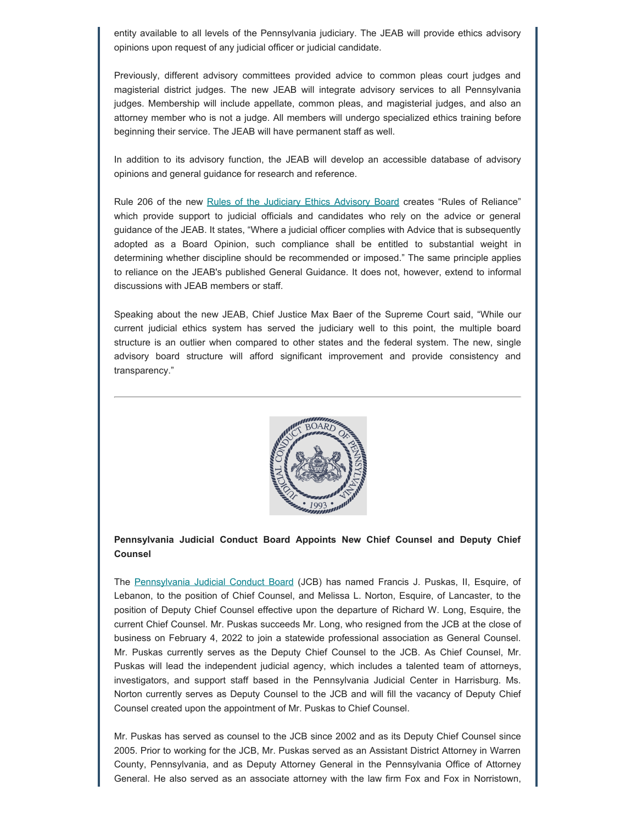entity available to all levels of the Pennsylvania judiciary. The JEAB will provide ethics advisory opinions upon request of any judicial officer or judicial candidate.

Previously, different advisory committees provided advice to common pleas court judges and magisterial district judges. The new JEAB will integrate advisory services to all Pennsylvania judges. Membership will include appellate, common pleas, and magisterial judges, and also an attorney member who is not a judge. All members will undergo specialized ethics training before beginning their service. The JEAB will have permanent staff as well.

In addition to its advisory function, the JEAB will develop an accessible database of advisory opinions and general guidance for research and reference.

Rule 206 of the new [Rules of the Judiciary Ethics Advisory Board](https://www.pacourts.us/Storage/media/pdfs/20220114/160005-adoptionofthepennsylvaniarulesofthejudicialethicsadvisoryboard-certifiedorder1-14-22.pdf) creates "Rules of Reliance" which provide support to judicial officials and candidates who rely on the advice or general guidance of the JEAB. It states, "Where a judicial officer complies with Advice that is subsequently adopted as a Board Opinion, such compliance shall be entitled to substantial weight in determining whether discipline should be recommended or imposed." The same principle applies to reliance on the JEAB's published General Guidance. It does not, however, extend to informal discussions with JEAB members or staff.

Speaking about the new JEAB, Chief Justice Max Baer of the Supreme Court said, "While our current judicial ethics system has served the judiciary well to this point, the multiple board structure is an outlier when compared to other states and the federal system. The new, single advisory board structure will afford significant improvement and provide consistency and transparency."



#### **Pennsylvania Judicial Conduct Board Appoints New Chief Counsel and Deputy Chief Counsel**

The [Pennsylvania Judicial Conduct Board](http://judicialconductboardofpa.org/) (JCB) has named Francis J. Puskas, II, Esquire, of Lebanon, to the position of Chief Counsel, and Melissa L. Norton, Esquire, of Lancaster, to the position of Deputy Chief Counsel effective upon the departure of Richard W. Long, Esquire, the current Chief Counsel. Mr. Puskas succeeds Mr. Long, who resigned from the JCB at the close of business on February 4, 2022 to join a statewide professional association as General Counsel. Mr. Puskas currently serves as the Deputy Chief Counsel to the JCB. As Chief Counsel, Mr. Puskas will lead the independent judicial agency, which includes a talented team of attorneys, investigators, and support staff based in the Pennsylvania Judicial Center in Harrisburg. Ms. Norton currently serves as Deputy Counsel to the JCB and will fill the vacancy of Deputy Chief Counsel created upon the appointment of Mr. Puskas to Chief Counsel.

Mr. Puskas has served as counsel to the JCB since 2002 and as its Deputy Chief Counsel since 2005. Prior to working for the JCB, Mr. Puskas served as an Assistant District Attorney in Warren County, Pennsylvania, and as Deputy Attorney General in the Pennsylvania Office of Attorney General. He also served as an associate attorney with the law firm Fox and Fox in Norristown,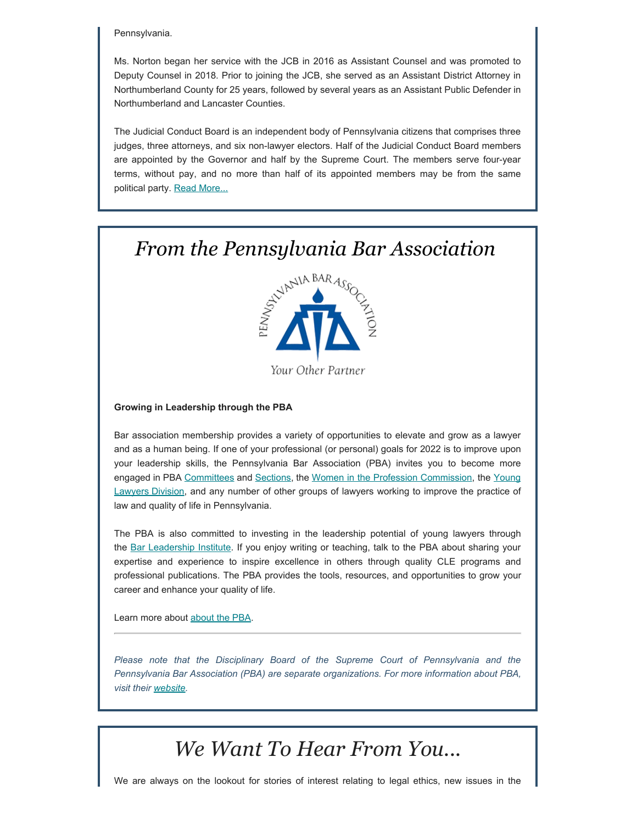#### Pennsylvania.

Ms. Norton began her service with the JCB in 2016 as Assistant Counsel and was promoted to Deputy Counsel in 2018. Prior to joining the JCB, she served as an Assistant District Attorney in Northumberland County for 25 years, followed by several years as an Assistant Public Defender in Northumberland and Lancaster Counties.

The Judicial Conduct Board is an independent body of Pennsylvania citizens that comprises three judges, three attorneys, and six non-lawyer electors. Half of the Judicial Conduct Board members are appointed by the Governor and half by the Supreme Court. The members serve four-year terms, without pay, and no more than half of its appointed members may be from the same political party. **[Read More...](http://judicialconductboardofpa.org/wp-content/uploads/02-04-2022-Press-Release-Appointment-of-New-Chief-Counsel-and-Deputy-Chief-Counsel-to-the-Judicial-Conduct-Board.pdf)** 

### *From the Pennsylvania Bar Association*



Your Other Partner

#### **Growing in Leadership through the PBA**

Bar association membership provides a variety of opportunities to elevate and grow as a lawyer and as a human being. If one of your professional (or personal) goals for 2022 is to improve upon your leadership skills, the Pennsylvania Bar Association (PBA) invites you to become more engaged in PBA [Committees](https://www.pabar.org/site/For-Lawyers/Committees-Commissions) and [Sections,](https://www.pabar.org/site/For-Lawyers/Sections) the [Women in the Profession Commission,](https://www.pabar.org/site/For-Lawyers/Committees-Commissions/Women-in-the-Profession-Commission) the [Young](https://www.pabar.org/site/For-Lawyers/Young-Lawyers-Division) [Lawyers Division,](https://www.pabar.org/site/For-Lawyers/Young-Lawyers-Division) and any number of other groups of lawyers working to improve the practice of law and quality of life in Pennsylvania.

The PBA is also committed to investing in the leadership potential of young lawyers through the [Bar Leadership Institute](https://www.pabar.org/site/For-Lawyers/Bar-Leadership-Institute). If you enjoy writing or teaching, talk to the PBA about sharing your expertise and experience to inspire excellence in others through quality CLE programs and professional publications. The PBA provides the tools, resources, and opportunities to grow your career and enhance your quality of life.

Learn more about [about the PBA](https://www.pabar.org/site/Get-Involved/Join-PBA).

*Please note that the Disciplinary Board of the Supreme Court of Pennsylvania and the Pennsylvania Bar Association (PBA) are separate organizations. For more information about PBA, visit their [website](https://www.pabar.org/site/).*

### *We Want To Hear From You...*

We are always on the lookout for stories of interest relating to legal ethics, new issues in the